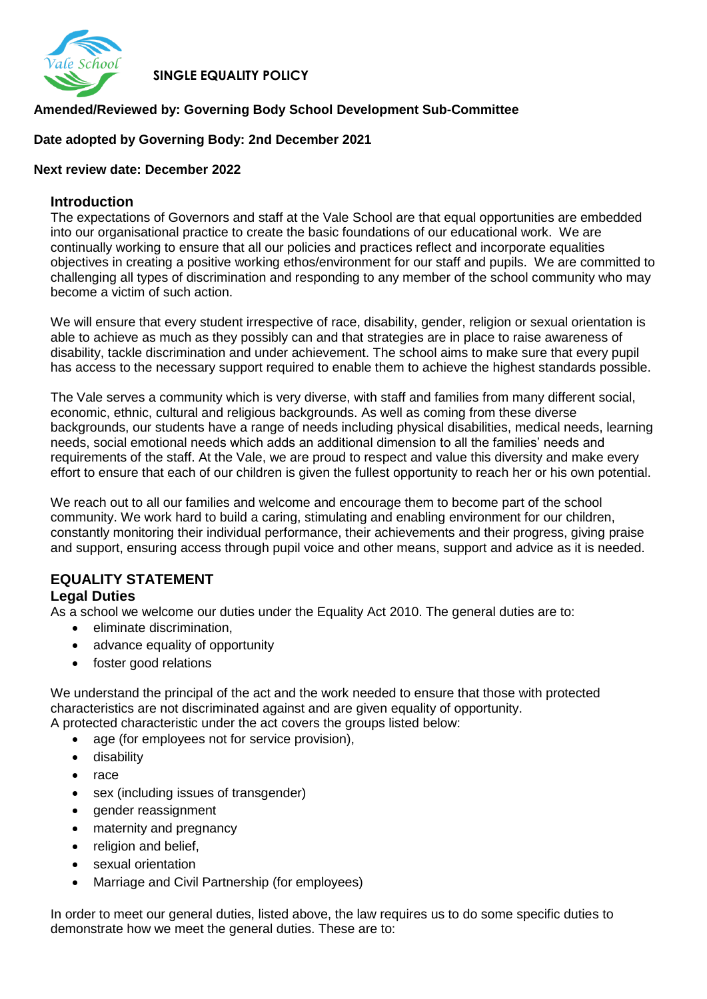

 **SINGLE EQUALITY POLICY**

# **Amended/Reviewed by: Governing Body School Development Sub-Committee**

### **Date adopted by Governing Body: 2nd December 2021**

### **Next review date: December 2022**

### **Introduction**

The expectations of Governors and staff at the Vale School are that equal opportunities are embedded into our organisational practice to create the basic foundations of our educational work. We are continually working to ensure that all our policies and practices reflect and incorporate equalities objectives in creating a positive working ethos/environment for our staff and pupils. We are committed to challenging all types of discrimination and responding to any member of the school community who may become a victim of such action.

We will ensure that every student irrespective of race, disability, gender, religion or sexual orientation is able to achieve as much as they possibly can and that strategies are in place to raise awareness of disability, tackle discrimination and under achievement. The school aims to make sure that every pupil has access to the necessary support required to enable them to achieve the highest standards possible.

The Vale serves a community which is very diverse, with staff and families from many different social, economic, ethnic, cultural and religious backgrounds. As well as coming from these diverse backgrounds, our students have a range of needs including physical disabilities, medical needs, learning needs, social emotional needs which adds an additional dimension to all the families' needs and requirements of the staff. At the Vale, we are proud to respect and value this diversity and make every effort to ensure that each of our children is given the fullest opportunity to reach her or his own potential.

We reach out to all our families and welcome and encourage them to become part of the school community. We work hard to build a caring, stimulating and enabling environment for our children, constantly monitoring their individual performance, their achievements and their progress, giving praise and support, ensuring access through pupil voice and other means, support and advice as it is needed.

#### **EQUALITY STATEMENT Legal Duties**

As a school we welcome our duties under the Equality Act 2010. The general duties are to:

- eliminate discrimination,
- advance equality of opportunity
- foster good relations

We understand the principal of the act and the work needed to ensure that those with protected characteristics are not discriminated against and are given equality of opportunity. A protected characteristic under the act covers the groups listed below:

- age (for employees not for service provision),
- **•** disability
- race
- sex (including issues of transgender)
- gender reassignment
- maternity and pregnancy
- religion and belief,
- sexual orientation
- Marriage and Civil Partnership (for employees)

In order to meet our general duties, listed above, the law requires us to do some specific duties to demonstrate how we meet the general duties. These are to: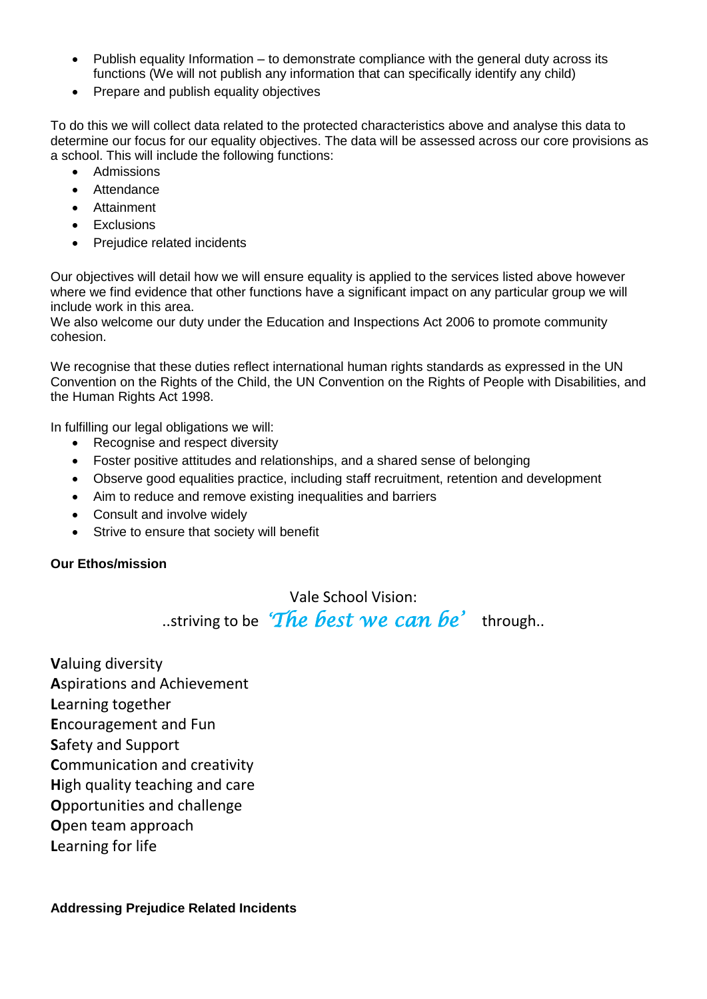- Publish equality Information to demonstrate compliance with the general duty across its functions (We will not publish any information that can specifically identify any child)
- Prepare and publish equality objectives

To do this we will collect data related to the protected characteristics above and analyse this data to determine our focus for our equality objectives. The data will be assessed across our core provisions as a school. This will include the following functions:

- Admissions
- Attendance
- Attainment
- Exclusions
- Prejudice related incidents

Our objectives will detail how we will ensure equality is applied to the services listed above however where we find evidence that other functions have a significant impact on any particular group we will include work in this area.

We also welcome our duty under the Education and Inspections Act 2006 to promote community cohesion.

We recognise that these duties reflect international human rights standards as expressed in the UN Convention on the Rights of the Child, the UN Convention on the Rights of People with Disabilities, and the Human Rights Act 1998.

In fulfilling our legal obligations we will:

- Recognise and respect diversity
- Foster positive attitudes and relationships, and a shared sense of belonging
- Observe good equalities practice, including staff recruitment, retention and development
- Aim to reduce and remove existing inequalities and barriers
- Consult and involve widely
- Strive to ensure that society will benefit

## **Our Ethos/mission**

Vale School Vision:

..striving to be *'The best we can be'* through..

**V**aluing diversity **A**spirations and Achievement **L**earning together **E**ncouragement and Fun **S**afety and Support **C**ommunication and creativity **H**igh quality teaching and care **O**pportunities and challenge **O**pen team approach **L**earning for life

**Addressing Prejudice Related Incidents**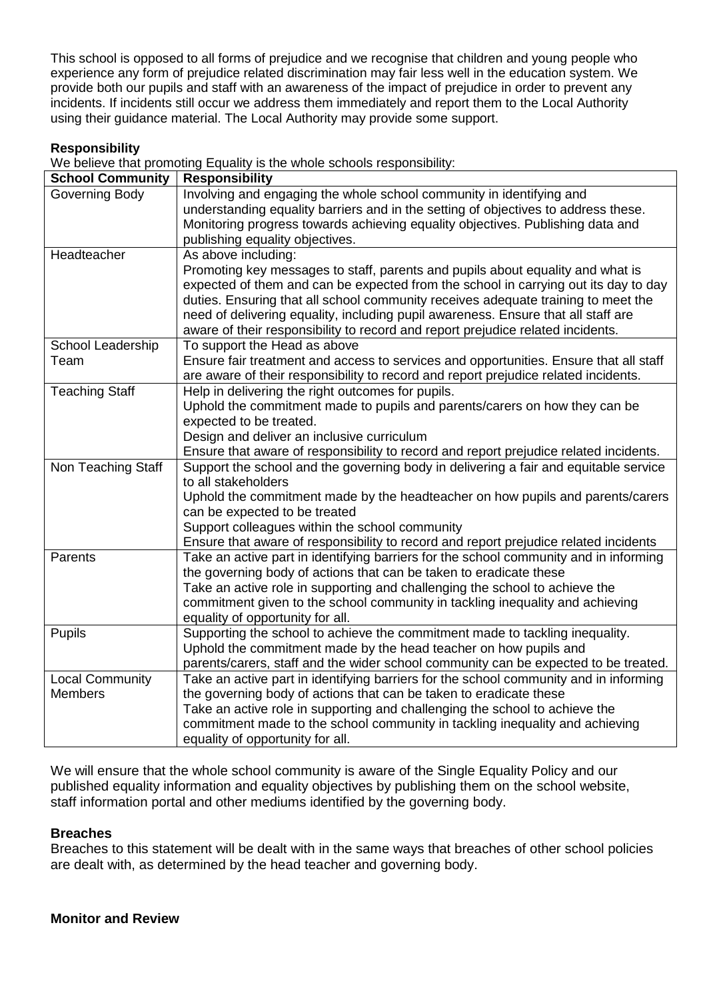This school is opposed to all forms of prejudice and we recognise that children and young people who experience any form of prejudice related discrimination may fair less well in the education system. We provide both our pupils and staff with an awareness of the impact of prejudice in order to prevent any incidents. If incidents still occur we address them immediately and report them to the Local Authority using their guidance material. The Local Authority may provide some support.

### **Responsibility**

We believe that promoting Equality is the whole schools responsibility:

| <b>School Community</b> | <b>Responsibility</b>                                                                 |
|-------------------------|---------------------------------------------------------------------------------------|
| Governing Body          | Involving and engaging the whole school community in identifying and                  |
|                         | understanding equality barriers and in the setting of objectives to address these.    |
|                         | Monitoring progress towards achieving equality objectives. Publishing data and        |
|                         | publishing equality objectives.                                                       |
| Headteacher             | As above including:                                                                   |
|                         | Promoting key messages to staff, parents and pupils about equality and what is        |
|                         | expected of them and can be expected from the school in carrying out its day to day   |
|                         | duties. Ensuring that all school community receives adequate training to meet the     |
|                         | need of delivering equality, including pupil awareness. Ensure that all staff are     |
|                         | aware of their responsibility to record and report prejudice related incidents.       |
| School Leadership       | To support the Head as above                                                          |
| Team                    | Ensure fair treatment and access to services and opportunities. Ensure that all staff |
|                         | are aware of their responsibility to record and report prejudice related incidents.   |
| <b>Teaching Staff</b>   | Help in delivering the right outcomes for pupils.                                     |
|                         | Uphold the commitment made to pupils and parents/carers on how they can be            |
|                         | expected to be treated.                                                               |
|                         | Design and deliver an inclusive curriculum                                            |
|                         | Ensure that aware of responsibility to record and report prejudice related incidents. |
| Non Teaching Staff      | Support the school and the governing body in delivering a fair and equitable service  |
|                         | to all stakeholders                                                                   |
|                         | Uphold the commitment made by the headteacher on how pupils and parents/carers        |
|                         | can be expected to be treated                                                         |
|                         | Support colleagues within the school community                                        |
|                         | Ensure that aware of responsibility to record and report prejudice related incidents  |
| Parents                 | Take an active part in identifying barriers for the school community and in informing |
|                         | the governing body of actions that can be taken to eradicate these                    |
|                         | Take an active role in supporting and challenging the school to achieve the           |
|                         | commitment given to the school community in tackling inequality and achieving         |
|                         | equality of opportunity for all.                                                      |
| <b>Pupils</b>           | Supporting the school to achieve the commitment made to tackling inequality.          |
|                         | Uphold the commitment made by the head teacher on how pupils and                      |
|                         | parents/carers, staff and the wider school community can be expected to be treated.   |
| <b>Local Community</b>  | Take an active part in identifying barriers for the school community and in informing |
| <b>Members</b>          | the governing body of actions that can be taken to eradicate these                    |
|                         | Take an active role in supporting and challenging the school to achieve the           |
|                         | commitment made to the school community in tackling inequality and achieving          |
|                         | equality of opportunity for all.                                                      |

We will ensure that the whole school community is aware of the Single Equality Policy and our published equality information and equality objectives by publishing them on the school website, staff information portal and other mediums identified by the governing body.

### **Breaches**

Breaches to this statement will be dealt with in the same ways that breaches of other school policies are dealt with, as determined by the head teacher and governing body.

### **Monitor and Review**